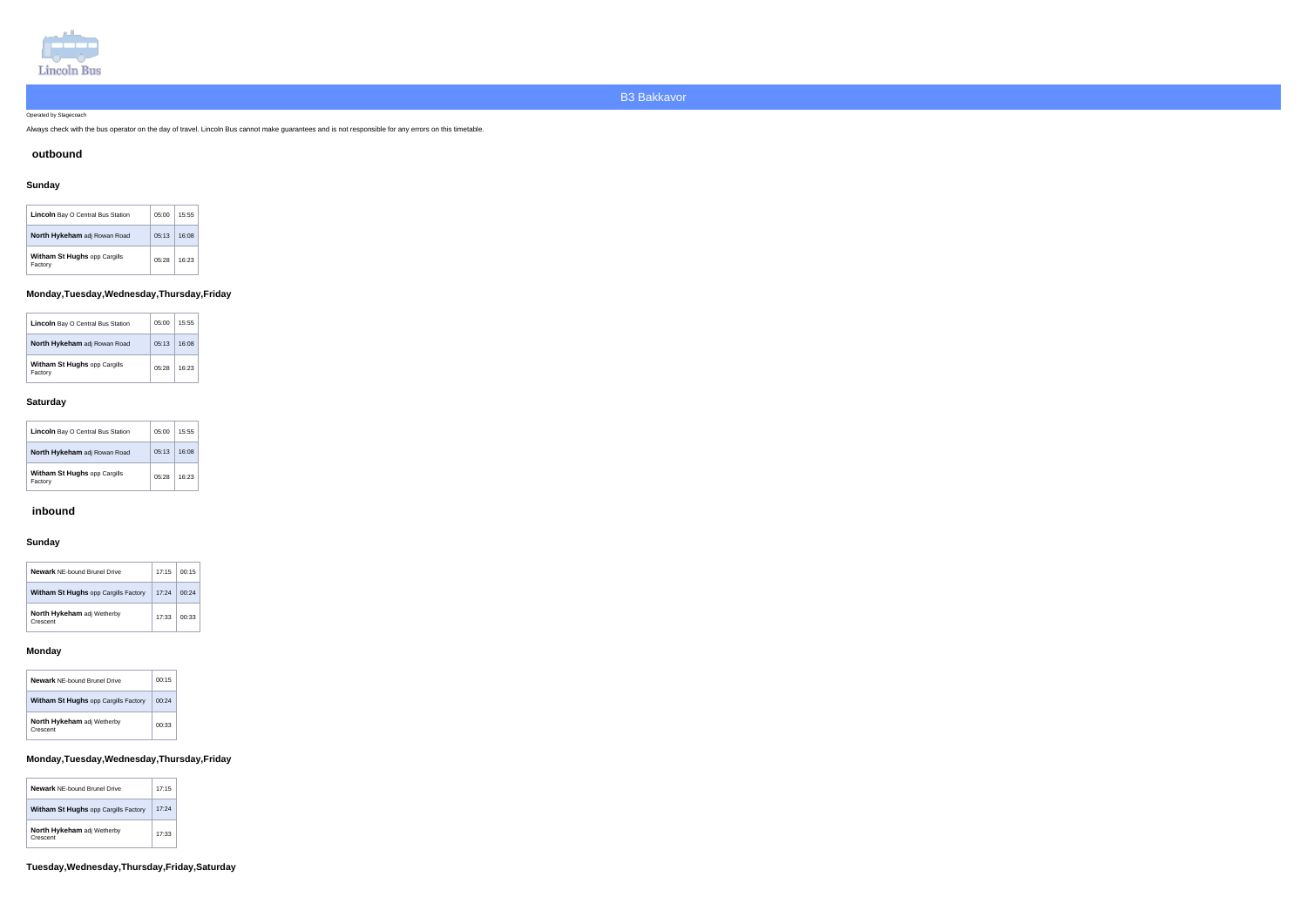

Operated by Stagecoach

Always check with the bus operator on the day of travel. Lincoln Bus cannot make guarantees and is not responsible for any errors on this timetable.

### **outbound**

# **Sunday**

| <b>Lincoln</b> Bay O Central Bus Station       | 05:00 | 15:55 |
|------------------------------------------------|-------|-------|
| North Hykeham adj Rowan Road                   | 05.13 | 16:08 |
| <b>Witham St Hughs opp Cargills</b><br>Factory | 05:28 | 16:23 |

## **Monday,Tuesday,Wednesday,Thursday,Friday**

| <b>Lincoln</b> Bay O Central Bus Station       | 05:00 | 15:55 |
|------------------------------------------------|-------|-------|
| North Hykeham adj Rowan Road                   | 05.13 | 16:08 |
| <b>Witham St Hughs opp Cargills</b><br>Factory | 05:28 | 16:23 |

### **Saturday**

| <b>Lincoln</b> Bay O Central Bus Station       | 05:00  | 15:55 |
|------------------------------------------------|--------|-------|
| <b>North Hykeham</b> adj Rowan Road            | 0.5:13 | 16:08 |
| <b>Witham St Hughs opp Cargills</b><br>Factory | 05:28  | 16:23 |

### **inbound**

## **Sunday**

| <b>Newark NE-bound Brunel Drive</b>           | 17:15 | 00:15 |
|-----------------------------------------------|-------|-------|
| <b>Witham St Hughs opp Cargills Factory</b>   | 17:24 | በበ 24 |
| <b>North Hykeham adj Wetherby</b><br>Crescent | 17:33 | በበ 33 |

### **Monday**

| <b>Newark</b> NF-bound Brunel Drive           | 00:15 |
|-----------------------------------------------|-------|
| <b>Witham St Hughs opp Cargills Factory</b>   | 00:24 |
| <b>North Hykeham</b> adj Wetherby<br>Crescent | 00:33 |

## **Monday,Tuesday,Wednesday,Thursday,Friday**

| <b>Newark NE-bound Brunel Drive</b>         | 17:15 |
|---------------------------------------------|-------|
| <b>Witham St Hughs opp Cargills Factory</b> | 17:24 |
| North Hykeham adj Wetherby<br>Crescent      | 17:33 |

**Tuesday,Wednesday,Thursday,Friday,Saturday**